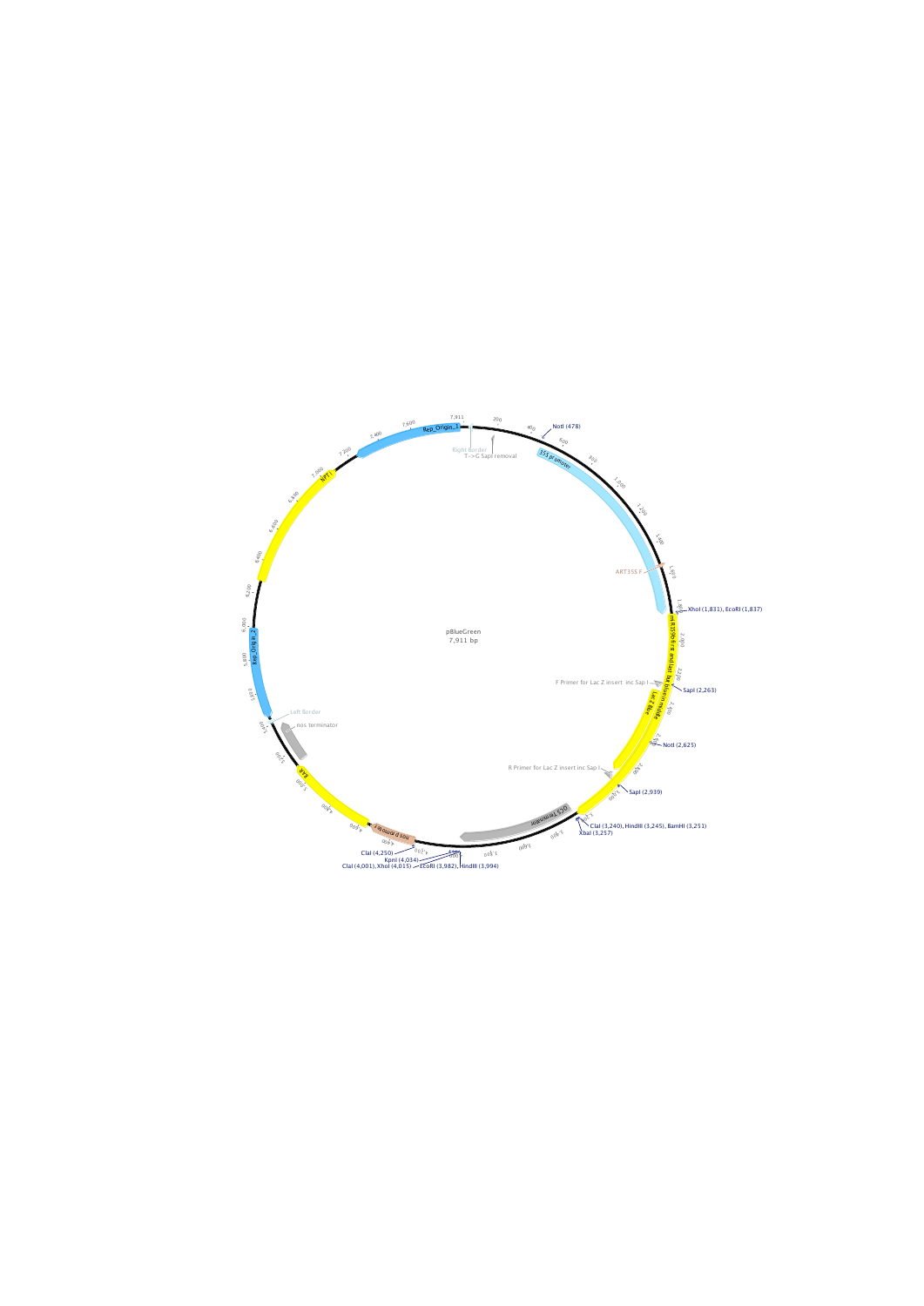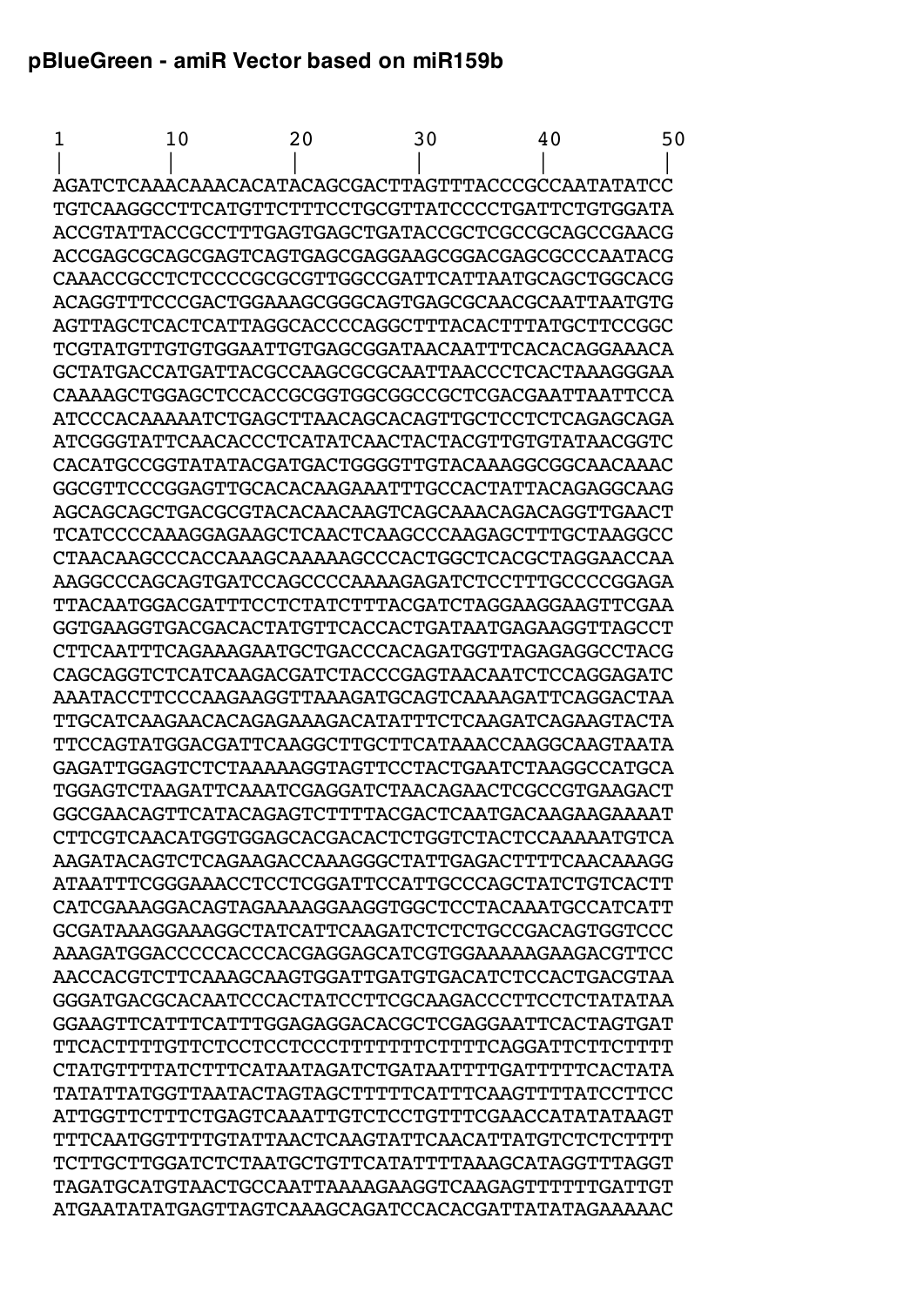## **pBlueGreen - amiR Vector based on miR159b**

 1 10 20 30 40 50 | | | | | | AGATCTCAAACAAACACATACAGCGACTTAGTTTACCCGCCAATATATCC TGTCAAGGCCTTCATGTTCTTTCCTGCGTTATCCCCTGATTCTGTGGATA ACCGTATTACCGCCTTTGAGTGAGCTGATACCGCTCGCCGCAGCCGAACG ACCGAGCGCAGCGAGTCAGTGAGCGAGGAAGCGGACGAGCGCCCAATACG CAAACCGCCTCTCCCCGCGCGTTGGCCGATTCATTAATGCAGCTGGCACG ACAGGTTTCCCGACTGGAAAGCGGGCAGTGAGCGCAACGCAATTAATGTG AGTTAGCTCACTCATTAGGCACCCCAGGCTTTACACTTTATGCTTCCGGC TCGTATGTTGTGTGGAATTGTGAGCGGATAACAATTTCACACAGGAAACA GCTATGACCATGATTACGCCAAGCGCGCAATTAACCCTCACTAAAGGGAA CAAAAGCTGGAGCTCCACCGCGGTGGCGGCCGCTCGACGAATTAATTCCA ATCCCACAAAAATCTGAGCTTAACAGCACAGTTGCTCCTCTCAGAGCAGA ATCGGGTATTCAACACCCTCATATCAACTACTACGTTGTGTATAACGGTC CACATGCCGGTATATACGATGACTGGGGTTGTACAAAGGCGGCAACAAAC GGCGTTCCCGGAGTTGCACACAAGAAATTTGCCACTATTACAGAGGCAAG AGCAGCAGCTGACGCGTACACAACAAGTCAGCAAACAGACAGGTTGAACT TCATCCCCAAAGGAGAAGCTCAACTCAAGCCCAAGAGCTTTGCTAAGGCC CTAACAAGCCCACCAAAGCAAAAAGCCCACTGGCTCACGCTAGGAACCAA AAGGCCCAGCAGTGATCCAGCCCCAAAAGAGATCTCCTTTGCCCCGGAGA TTACAATGGACGATTTCCTCTATCTTTACGATCTAGGAAGGAAGTTCGAA GGTGAAGGTGACGACACTATGTTCACCACTGATAATGAGAAGGTTAGCCT CTTCAATTTCAGAAAGAATGCTGACCCACAGATGGTTAGAGAGGCCTACG CAGCAGGTCTCATCAAGACGATCTACCCGAGTAACAATCTCCAGGAGATC AAATACCTTCCCAAGAAGGTTAAAGATGCAGTCAAAAGATTCAGGACTAA TTGCATCAAGAACACAGAGAAAGACATATTTCTCAAGATCAGAAGTACTA TTCCAGTATGGACGATTCAAGGCTTGCTTCATAAACCAAGGCAAGTAATA GAGATTGGAGTCTCTAAAAAGGTAGTTCCTACTGAATCTAAGGCCATGCA TGGAGTCTAAGATTCAAATCGAGGATCTAACAGAACTCGCCGTGAAGACT GGCGAACAGTTCATACAGAGTCTTTTACGACTCAATGACAAGAAGAAAAT CTTCGTCAACATGGTGGAGCACGACACTCTGGTCTACTCCAAAAATGTCA AAGATACAGTCTCAGAAGACCAAAGGGCTATTGAGACTTTTCAACAAAGG ATAATTTCGGGAAACCTCCTCGGATTCCATTGCCCAGCTATCTGTCACTT CATCGAAAGGACAGTAGAAAAGGAAGGTGGCTCCTACAAATGCCATCATT GCGATAAAGGAAAGGCTATCATTCAAGATCTCTCTGCCGACAGTGGTCCC AAAGATGGACCCCCACCCACGAGGAGCATCGTGGAAAAAGAAGACGTTCC AACCACGTCTTCAAAGCAAGTGGATTGATGTGACATCTCCACTGACGTAA GGGATGACGCACAATCCCACTATCCTTCGCAAGACCCTTCCTCTATATAA GGAAGTTCATTTCATTTGGAGAGGACACGCTCGAGGAATTCACTAGTGAT TTCACTTTTGTTCTCCTCCTCCCTTTTTTTCTTTTCAGGATTCTTCTTTT CTATGTTTTATCTTTCATAATAGATCTGATAATTTTGATTTTTCACTATA TATATTATGGTTAATACTAGTAGCTTTTTCATTTCAAGTTTTATCCTTCC ATTGGTTCTTTCTGAGTCAAATTGTCTCCTGTTTCGAACCATATATAAGT TTTCAATGGTTTTGTATTAACTCAAGTATTCAACATTATGTCTCTCTTTT TCTTGCTTGGATCTCTAATGCTGTTCATATTTTAAAGCATAGGTTTAGGT TAGATGCATGTAACTGCCAATTAAAAGAAGGTCAAGAGTTTTTTGATTGT ATGAATATATGAGTTAGTCAAAGCAGATCCACACGATTATATAGAAAAAC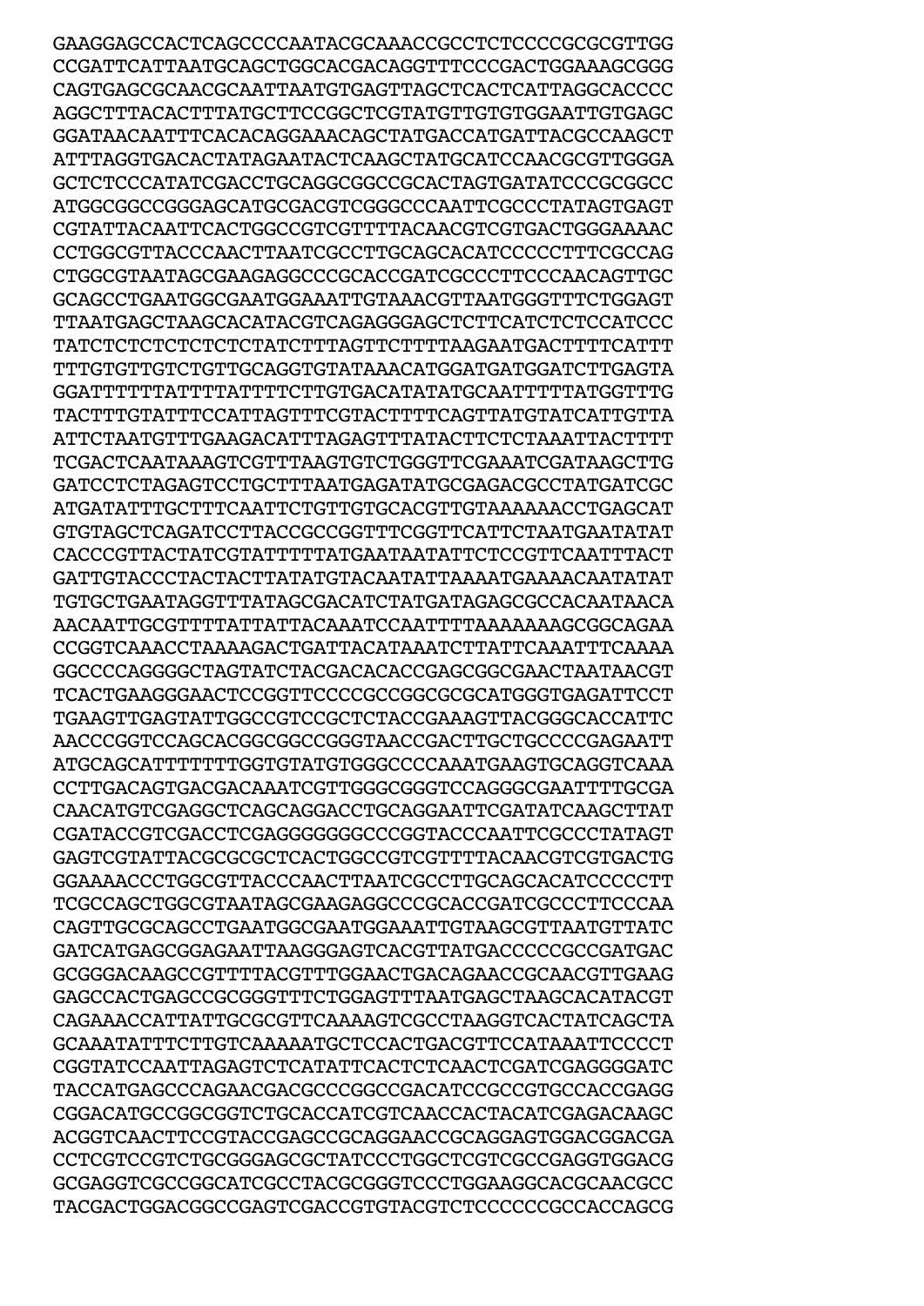GAAGGAGCCACTCAGCCCCAATACGCAAACCGCCTCTCCCCGCGCGTTGG CCGATTCATTAATGCAGCTGGCACGACAGGTTTCCCGACTGGAAAGCGGG CAGTGAGCGCAACGCAATTAATGTGAGTTAGCTCACTCATTAGGCACCCC AGGCTTTACACTTTATGCTTCCGGCTCGTATGTTGTGTGGAATTGTGAGC GGATAACAATTTCACACAGGAAACAGCTATGACCATGATTACGCCAAGCT ATTTAGGTGACACTATAGAATACTCAAGCTATGCATCCAACGCGTTGGGA GCTCTCCCATATCGACCTGCAGGCGGCCGCACTAGTGATATCCCGCGGCC ATGGCGGCCGGGAGCATGCGACGTCGGGCCCAATTCGCCCTATAGTGAGT CGTATTACAATTCACTGGCCGTCGTTTTACAACGTCGTGACTGGGAAAAC CCTGGCGTTACCCAACTTAATCGCCTTGCAGCACATCCCCCTTTCGCCAG CTGGCGTAATAGCGAAGAGGCCCGCACCGATCGCCCTTCCCAACAGTTGC GCAGCCTGAATGGCGAATGGAAATTGTAAACGTTAATGGGTTTCTGGAGT TTAATGAGCTAAGCACATACGTCAGAGGGAGCTCTTCATCTCTCCATCCC TATCTCTCTCTCTCTCTATCTTTAGTTCTTTTAAGAATGACTTTTCATTT TTTGTGTTGTCTGTTGCAGGTGTATAAACATGGATGATGGATCTTGAGTA GGATTTTTTATTTTATTTTCTTGTGACATATATGCAATTTTTATGGTTTG TACTTTGTATTTCCATTAGTTTCGTACTTTTCAGTTATGTATCATTGTTA ATTCTAATGTTTGAAGACATTTAGAGTTTATACTTCTCTAAATTACTTTT TCGACTCAATAAAGTCGTTTAAGTGTCTGGGTTCGAAATCGATAAGCTTG GATCCTCTAGAGTCCTGCTTTAATGAGATATGCGAGACGCCTATGATCGC ATGATATTTGCTTTCAATTCTGTTGTGCACGTTGTAAAAAACCTGAGCAT GTGTAGCTCAGATCCTTACCGCCGGTTTCGGTTCATTCTAATGAATATAT CACCCGTTACTATCGTATTTTTATGAATAATATTCTCCGTTCAATTTACT GATTGTACCCTACTACTTATATGTACAATATTAAAATGAAAACAATATAT TGTGCTGAATAGGTTTATAGCGACATCTATGATAGAGCGCCACAATAACA AACAATTGCGTTTTATTATTACAAATCCAATTTTAAAAAAAGCGGCAGAA CCGGTCAAACCTAAAAGACTGATTACATAAATCTTATTCAAATTTCAAAA GGCCCCAGGGGCTAGTATCTACGACACACCGAGCGGCGAACTAATAACGT TCACTGAAGGGAACTCCGGTTCCCCGCCGGCGCGCATGGGTGAGATTCCT TGAAGTTGAGTATTGGCCGTCCGCTCTACCGAAAGTTACGGGCACCATTC AACCCGGTCCAGCACGGCGGCCGGGTAACCGACTTGCTGCCCCGAGAATT ATGCAGCATTTTTTTGGTGTATGTGGGCCCCAAATGAAGTGCAGGTCAAA CCTTGACAGTGACGACAAATCGTTGGGCGGGTCCAGGGCGAATTTTGCGA CAACATGTCGAGGCTCAGCAGGACCTGCAGGAATTCGATATCAAGCTTAT CGATACCGTCGACCTCGAGGGGGGGCCCGGTACCCAATTCGCCCTATAGT GAGTCGTATTACGCGCGCTCACTGGCCGTCGTTTTACAACGTCGTGACTG GGAAAACCCTGGCGTTACCCAACTTAATCGCCTTGCAGCACATCCCCCTT TCGCCAGCTGGCGTAATAGCGAAGAGGCCCGCACCGATCGCCCTTCCCAA CAGTTGCGCAGCCTGAATGGCGAATGGAAATTGTAAGCGTTAATGTTATC GATCATGAGCGGAGAATTAAGGGAGTCACGTTATGACCCCCGCCGATGAC GCGGGACAAGCCGTTTTACGTTTGGAACTGACAGAACCGCAACGTTGAAG GAGCCACTGAGCCGCGGGTTTCTGGAGTTTAATGAGCTAAGCACATACGT CAGAAACCATTATTGCGCGTTCAAAAGTCGCCTAAGGTCACTATCAGCTA GCAAATATTTCTTGTCAAAAATGCTCCACTGACGTTCCATAAATTCCCCT CGGTATCCAATTAGAGTCTCATATTCACTCTCAACTCGATCGAGGGGATC TACCATGAGCCCAGAACGACGCCCGGCCGACATCCGCCGTGCCACCGAGG CGGACATGCCGGCGGTCTGCACCATCGTCAACCACTACATCGAGACAAGC ACGGTCAACTTCCGTACCGAGCCGCAGGAACCGCAGGAGTGGACGGACGA CCTCGTCCGTCTGCGGGAGCGCTATCCCTGGCTCGTCGCCGAGGTGGACG GCGAGGTCGCCGGCATCGCCTACGCGGGTCCCTGGAAGGCACGCAACGCC TACGACTGGACGGCCGAGTCGACCGTGTACGTCTCCCCCCGCCACCAGCG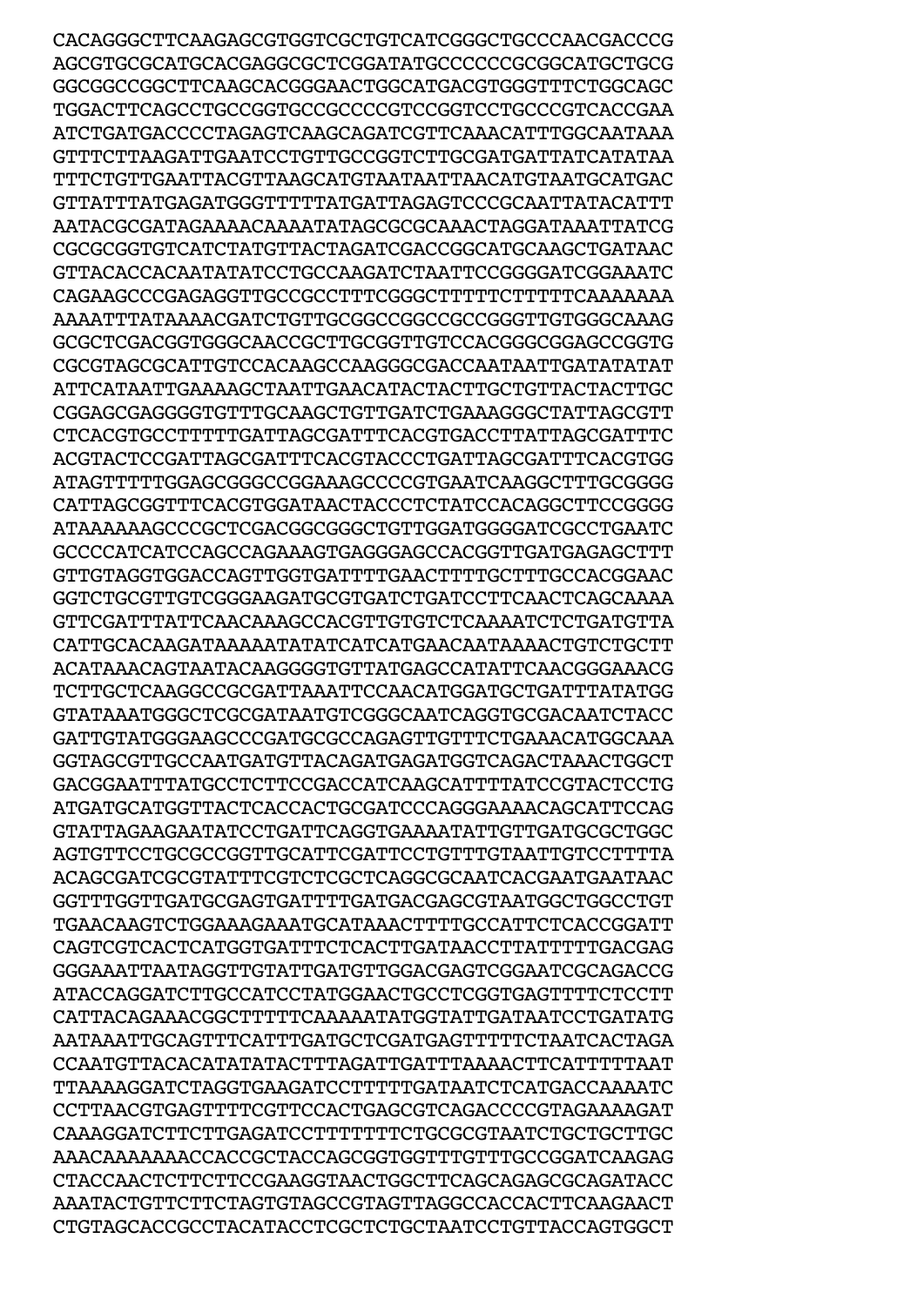CACAGGGCTTCAAGAGCGTGGTCGCTGTCATCGGGCTGCCCAACGACCCG AGCGTGCGCATGCACGAGGCGCTCGGATATGCCCCCCGCGGCATGCTGCG GGCGGCCGGCTTCAAGCACGGGAACTGGCATGACGTGGGTTTCTGGCAGC TGGACTTCAGCCTGCCGGTGCCGCCCCGTCCGGTCCTGCCCGTCACCGAA ATCTGATGACCCCTAGAGTCAAGCAGATCGTTCAAACATTTGGCAATAAA GTTTCTTAAGATTGAATCCTGTTGCCGGTCTTGCGATGATTATCATATAA TTTCTGTTGAATTACGTTAAGCATGTAATAATTAACATGTAATGCATGAC GTTATTTATGAGATGGGTTTTTATGATTAGAGTCCCGCAATTATACATTT AATACGCGATAGAAAACAAAATATAGCGCGCAAACTAGGATAAATTATCG CGCGCGGTGTCATCTATGTTACTAGATCGACCGGCATGCAAGCTGATAAC GTTACACCACAATATATCCTGCCAAGATCTAATTCCGGGGATCGGAAATC CAGAAGCCCGAGAGGTTGCCGCCTTTCGGGCTTTTTCTTTTTCAAAAAAA AAAATTTATAAAACGATCTGTTGCGGCCGGCCGCCGGGTTGTGGGCAAAG GCGCTCGACGGTGGGCAACCGCTTGCGGTTGTCCACGGGCGGAGCCGGTG CGCGTAGCGCATTGTCCACAAGCCAAGGGCGACCAATAATTGATATATAT ATTCATAATTGAAAAGCTAATTGAACATACTACTTGCTGTTACTACTTGC CGGAGCGAGGGGTGTTTGCAAGCTGTTGATCTGAAAGGGCTATTAGCGTT CTCACGTGCCTTTTTGATTAGCGATTTCACGTGACCTTATTAGCGATTTC ACGTACTCCGATTAGCGATTTCACGTACCCTGATTAGCGATTTCACGTGG ATAGTTTTTGGAGCGGGCCGGAAAGCCCCGTGAATCAAGGCTTTGCGGGG CATTAGCGGTTTCACGTGGATAACTACCCTCTATCCACAGGCTTCCGGGG ATAAAAAAGCCCGCTCGACGGCGGGCTGTTGGATGGGGATCGCCTGAATC GCCCCATCATCCAGCCAGAAAGTGAGGGAGCCACGGTTGATGAGAGCTTT GTTGTAGGTGGACCAGTTGGTGATTTTGAACTTTTGCTTTGCCACGGAAC GGTCTGCGTTGTCGGGAAGATGCGTGATCTGATCCTTCAACTCAGCAAAA GTTCGATTTATTCAACAAAGCCACGTTGTGTCTCAAAATCTCTGATGTTA CATTGCACAAGATAAAAATATATCATCATGAACAATAAAACTGTCTGCTT ACATAAACAGTAATACAAGGGGTGTTATGAGCCATATTCAACGGGAAACG TCTTGCTCAAGGCCGCGATTAAATTCCAACATGGATGCTGATTTATATGG GTATAAATGGGCTCGCGATAATGTCGGGCAATCAGGTGCGACAATCTACC GATTGTATGGGAAGCCCGATGCGCCAGAGTTGTTTCTGAAACATGGCAAA GGTAGCGTTGCCAATGATGTTACAGATGAGATGGTCAGACTAAACTGGCT GACGGAATTTATGCCTCTTCCGACCATCAAGCATTTTATCCGTACTCCTG ATGATGCATGGTTACTCACCACTGCGATCCCAGGGAAAACAGCATTCCAG GTATTAGAAGAATATCCTGATTCAGGTGAAAATATTGTTGATGCGCTGGC AGTGTTCCTGCGCCGGTTGCATTCGATTCCTGTTTGTAATTGTCCTTTTA ACAGCGATCGCGTATTTCGTCTCGCTCAGGCGCAATCACGAATGAATAAC GGTTTGGTTGATGCGAGTGATTTTGATGACGAGCGTAATGGCTGGCCTGT TGAACAAGTCTGGAAAGAAATGCATAAACTTTTGCCATTCTCACCGGATT CAGTCGTCACTCATGGTGATTTCTCACTTGATAACCTTATTTTTGACGAG GGGAAATTAATAGGTTGTATTGATGTTGGACGAGTCGGAATCGCAGACCG ATACCAGGATCTTGCCATCCTATGGAACTGCCTCGGTGAGTTTTCTCCTT CATTACAGAAACGGCTTTTTCAAAAATATGGTATTGATAATCCTGATATG AATAAATTGCAGTTTCATTTGATGCTCGATGAGTTTTTCTAATCACTAGA CCAATGTTACACATATATACTTTAGATTGATTTAAAACTTCATTTTTAAT TTAAAAGGATCTAGGTGAAGATCCTTTTTGATAATCTCATGACCAAAATC CCTTAACGTGAGTTTTCGTTCCACTGAGCGTCAGACCCCGTAGAAAAGAT CAAAGGATCTTCTTGAGATCCTTTTTTTCTGCGCGTAATCTGCTGCTTGC AAACAAAAAAACCACCGCTACCAGCGGTGGTTTGTTTGCCGGATCAAGAG CTACCAACTCTTCTTCCGAAGGTAACTGGCTTCAGCAGAGCGCAGATACC AAATACTGTTCTTCTAGTGTAGCCGTAGTTAGGCCACCACTTCAAGAACT CTGTAGCACCGCCTACATACCTCGCTCTGCTAATCCTGTTACCAGTGGCT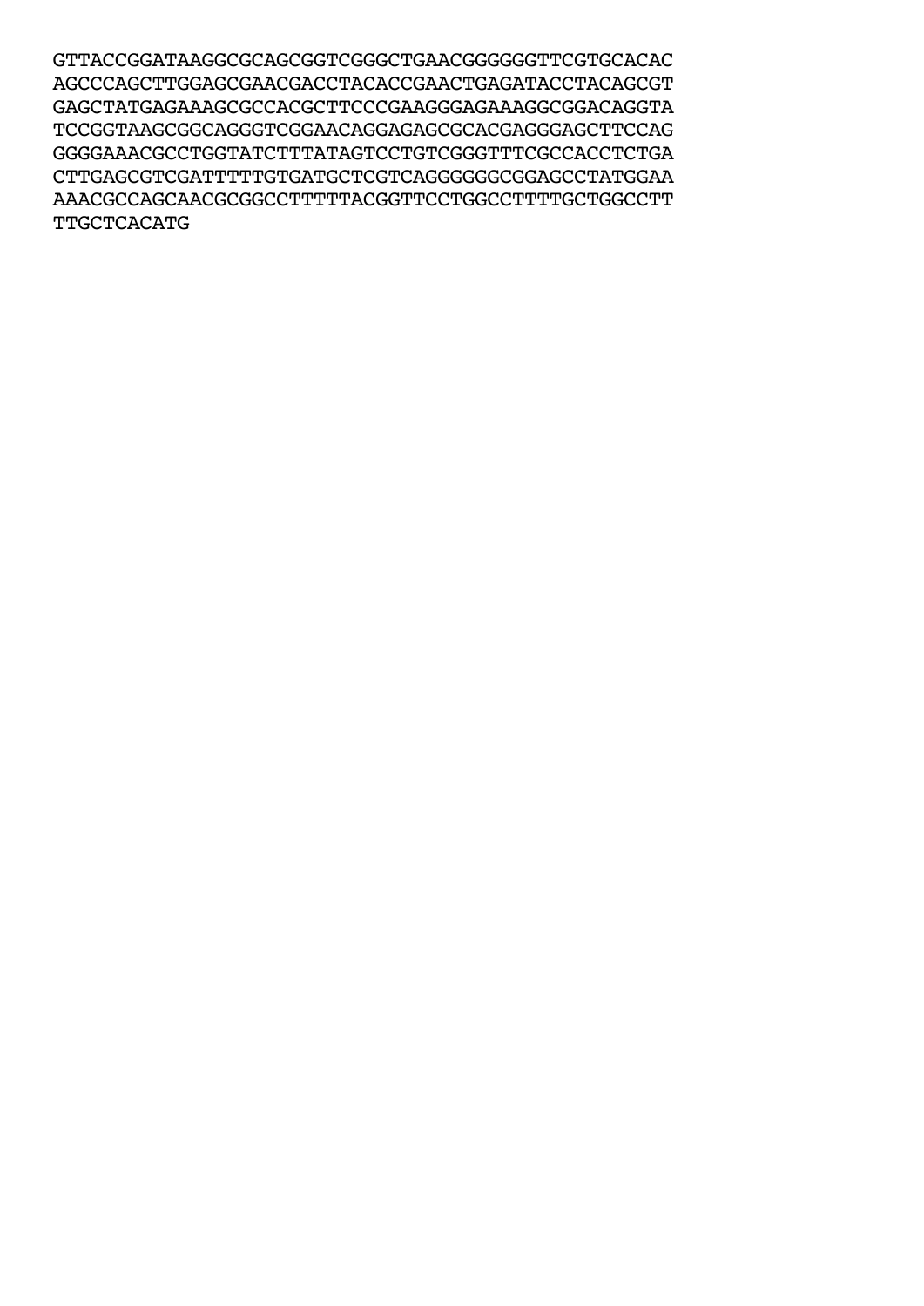GTTACCGGATAAGGCGCAGCGGTCGGGCTGAACGGGGGGTTCGTGCACAC AGCCCAGCTTGGAGCGAACGACCTACACCGAACTGAGATACCTACAGCGT GAGCTATGAGAAAGCGCCACGCTTCCCGAAGGGAGAAAGGCGGACAGGTA TCCGGTAAGCGGCAGGGTCGGAACAGGAGAGCGCACGAGGGAGCTTCCAG GGGGAAACGCCTGGTATCTTTATAGTCCTGTCGGGTTTCGCCACCTCTGA CTTGAGCGTCGATTTTTGTGATGCTCGTCAGGGGGGCGGAGCCTATGGAA AAACGCCAGCAACGCGGCCTTTTTACGGTTCCTGGCCTTTTGCTGGCCTT TTGCTCACATG